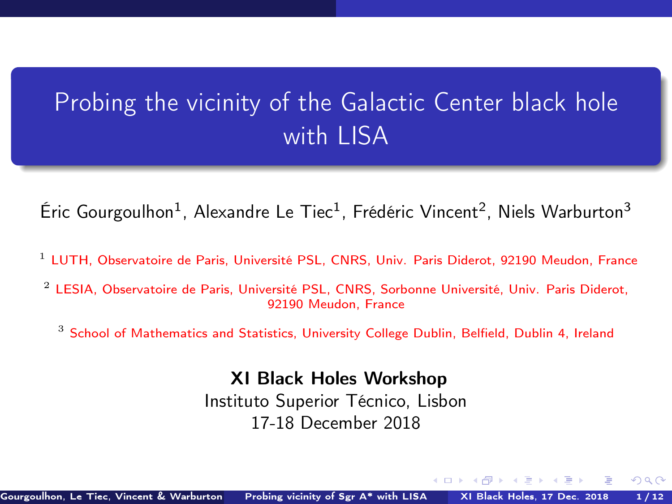# <span id="page-0-1"></span><span id="page-0-0"></span>Probing the vicinity of the Galactic Center black hole with LISA

Éric Gourgoulhon<sup>1</sup>, Alexandre Le Tiec<sup>1</sup>, Frédéric Vincent<sup>2</sup>, Niels Warburton<sup>3</sup>

- <sup>1</sup> [LUTH, Observatoire de Paris, Université PSL, CNRS, Univ. Paris Diderot, 92190 Meudon, France](https://luth.obspm.fr)
- <sup>2</sup> [LESIA, Observatoire de Paris, Université PSL, CNRS, Sorbonne Université, Univ. Paris Diderot,](https://lesia.obspm.fr) [92190 Meudon, France](https://lesia.obspm.fr)
	- $3$  [School of Mathematics and Statistics, University College Dublin, Belfield, Dublin 4, Ireland](http://www.ucd.ie/)

XI Black Holes Workshop

Instituto Superior Técnico, Lisbon 17-18 December 2018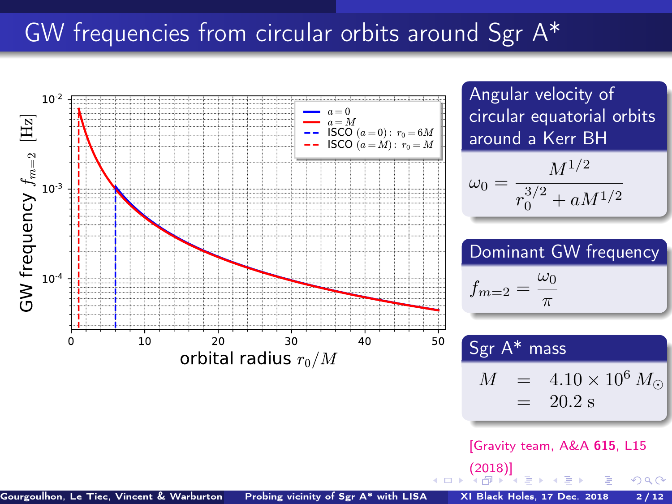## <span id="page-1-0"></span>GW frequencies from circular orbits around Sgr A\*



Gourgoulhon, Le Tiec, Vincent & Warburton [Probing vicinity of Sgr A\\* with LISA](#page-0-0) XI Black Holes, 17 Dec. 2018 2/12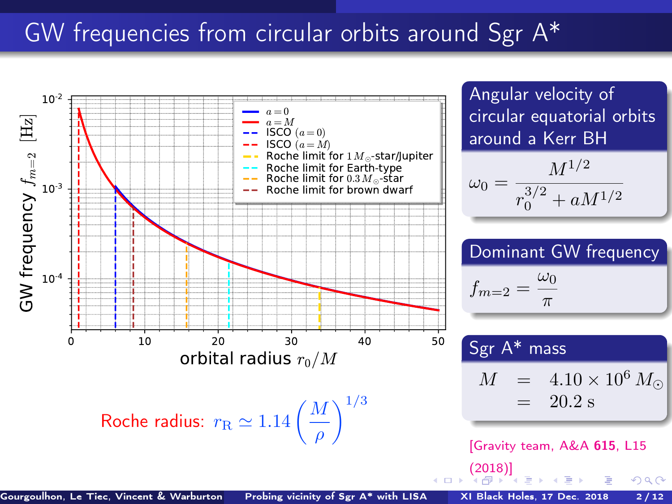## <span id="page-2-0"></span>GW frequencies from circular orbits around Sgr A\*

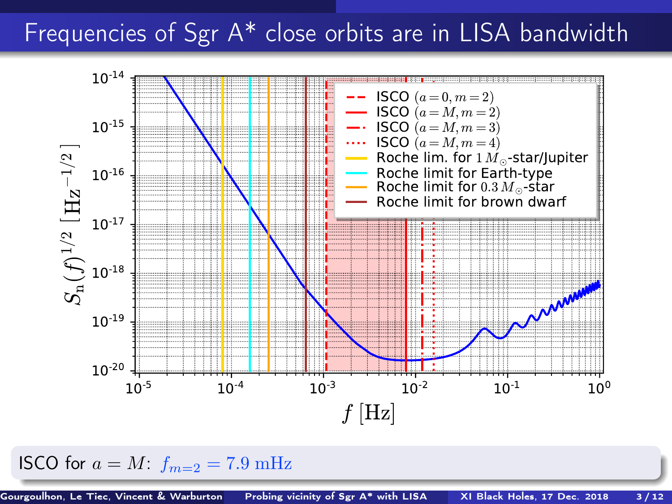### <span id="page-3-0"></span>Frequencies of Sgr A\* close orbits are in LISA bandwidth



ISCO for  $a = M$ :  $f_{m=2} = 7.9$  mHz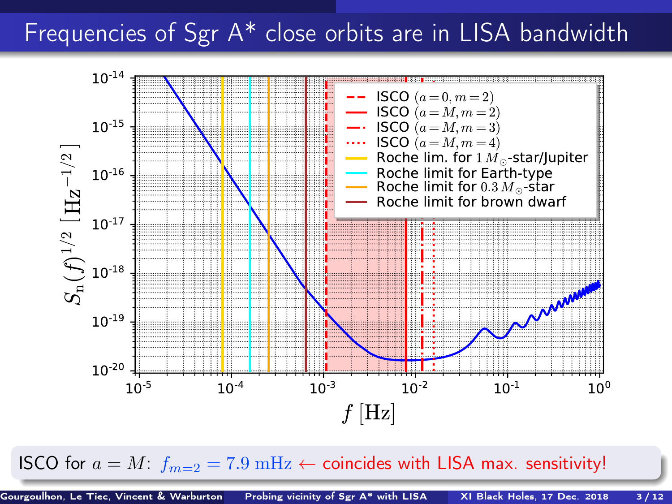# <span id="page-4-0"></span>Frequencies of Sgr A\* close orbits are in LISA bandwidth



ISCO for  $a = M$  $a = M$ :  $f_{m=2} = 7.9 \text{ mHz} \leftarrow$  $f_{m=2} = 7.9 \text{ mHz} \leftarrow$  $f_{m=2} = 7.9 \text{ mHz} \leftarrow$  coincides wit[h L](#page-3-0)I[SA](#page-5-0) ma[x.](#page-0-0) [sen](#page-23-0)[sit](#page-0-0)[ivi](#page-23-0)[ty!](#page-0-0)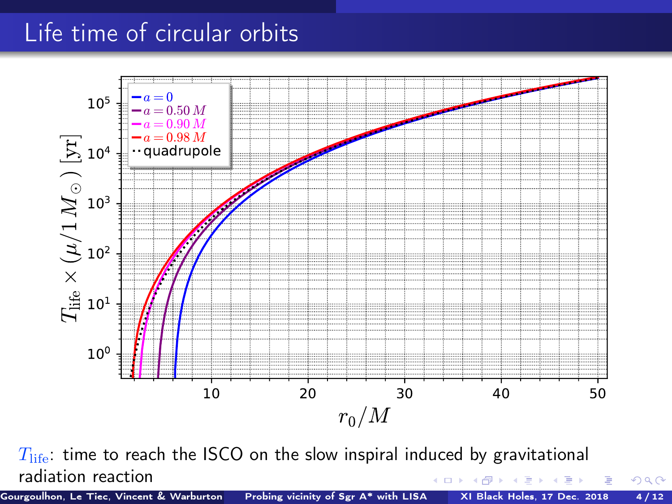# <span id="page-5-0"></span>Life time of circular orbits



 $T_{\text{life}}$ : time to reach the ISCO on the slow inspiral induced by gravitational radiation reaction **◆ ロ ▶ → 何** 医间面

Gourgoulhon, Le Tiec, Vincent & Warburton [Probing vicinity of Sgr A\\* with LISA](#page-0-0) XI Black Holes, 17 Dec. 2018 4/12

 $299$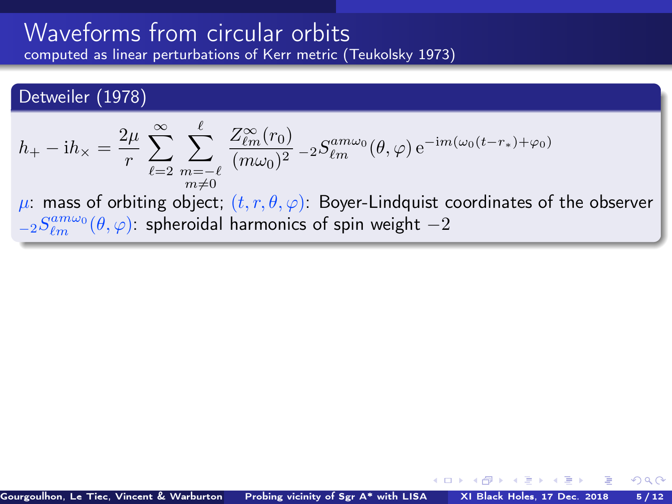### <span id="page-6-0"></span>Detweiler (1978)

$$
h_+ - \mathrm{i}h_\times = \frac{2\mu}{r} \sum_{\ell=2}^\infty \sum_{\substack{m=-\ell\\m\neq 0}}^\ell \frac{Z_{\ell m}^\infty(r_0)}{(m\omega_0)^2} - 2S_{\ell m}^{am\omega_0}(\theta,\varphi) e^{-\mathrm{i}m(\omega_0(t-r_*)+\varphi_0)}
$$

 $\mu$ : mass of orbiting object;  $(t, r, \theta, \varphi)$ : Boyer-Lindquist coordinates of the observer  ${}_{-2}S_{\ell m}^{am\omega_{0}}(\theta,\varphi)$ : spheroidal harmonics of spin weight  $-2$ 

**← ロ ▶ → イ 同 →**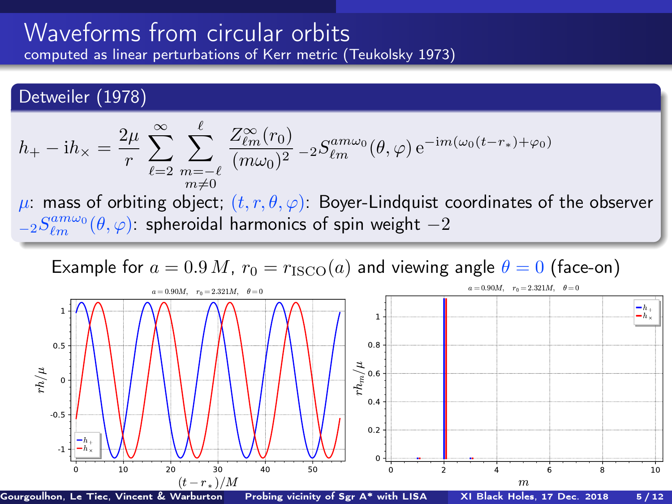<span id="page-7-0"></span>Detweiler (1978)

$$
h_+ - \mathrm{i}h_\times = \frac{2\mu}{r} \sum_{\ell=2}^\infty \sum_{\substack{m=-\ell\\m\neq 0}}^\ell \frac{Z_{\ell m}^\infty(r_0)}{(m\omega_0)^2} - 2S_{\ell m}^{am\omega_0}(\theta,\varphi) e^{-\mathrm{i}m(\omega_0(t-r_*)+\varphi_0)}
$$

 $\mu$ : mass of orbiting object;  $(t, r, \theta, \varphi)$ : Boyer-Lindquist coordinates of the observer  ${}_{-2}S_{\ell m}^{am\omega_{0}}(\theta,\varphi)$ : spheroidal harmonics of spin weight  $-2$ 

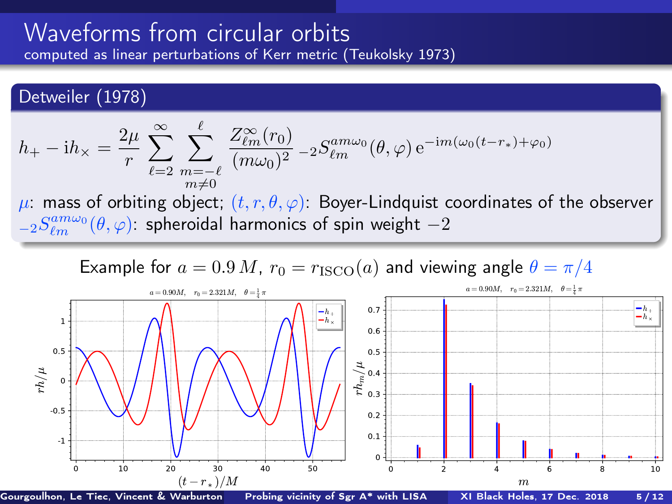### Detweiler (1978)

$$
h_+ - \mathrm{i}h_\times = \frac{2\mu}{r} \sum_{\ell=2}^\infty \sum_{\substack{m=-\ell\\m\neq 0}}^\ell \frac{Z_{\ell m}^\infty(r_0)}{(m\omega_0)^2} - 2S_{\ell m}^{am\omega_0}(\theta,\varphi) e^{-\mathrm{i}m(\omega_0(t-r_*)+\varphi_0)}
$$

 $\mu$ : mass of orbiting object;  $(t, r, \theta, \varphi)$ : Boyer-Lindquist coordinates of the observer  ${}_{-2}S_{\ell m}^{am\omega_{0}}(\theta,\varphi)$ : spheroidal harmonics of spin weight  $-2$ 

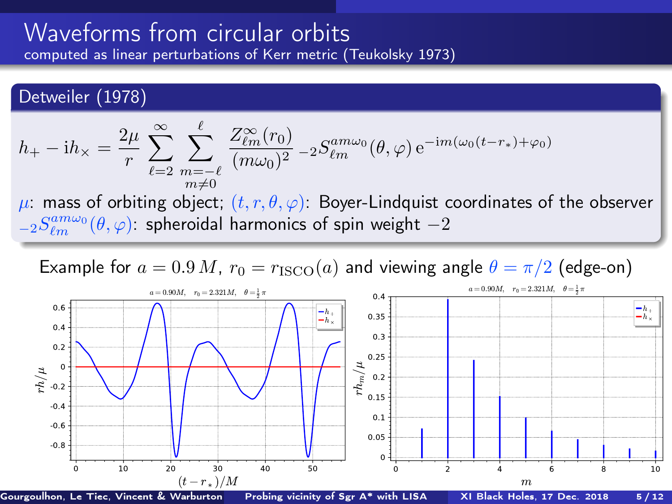### <span id="page-9-0"></span>Detweiler (1978)

$$
h_+ - \mathrm{i}h_\times = \frac{2\mu}{r} \sum_{\ell=2}^\infty \sum_{\substack{m=-\ell\\m\neq 0}}^\ell \frac{Z_{\ell m}^\infty(r_0)}{(m\omega_0)^2} - 2S_{\ell m}^{am\omega_0}(\theta,\varphi) e^{-\mathrm{i}m(\omega_0(t-r_*)+\varphi_0)}
$$

 $\mu$ : mass of orbiting object;  $(t, r, \theta, \varphi)$ : Boyer-Lindquist coordinates of the observer  ${}_{-2}S_{\ell m}^{am\omega_{0}}(\theta,\varphi)$ : spheroidal harmonics of spin weight  $-2$ 



Gourgoulhon, Le Tiec, Vincent & Warburton Reprobing vicinity of Sgr A\* with LISA XI Black Holes, 17 Dec. 2018 5/12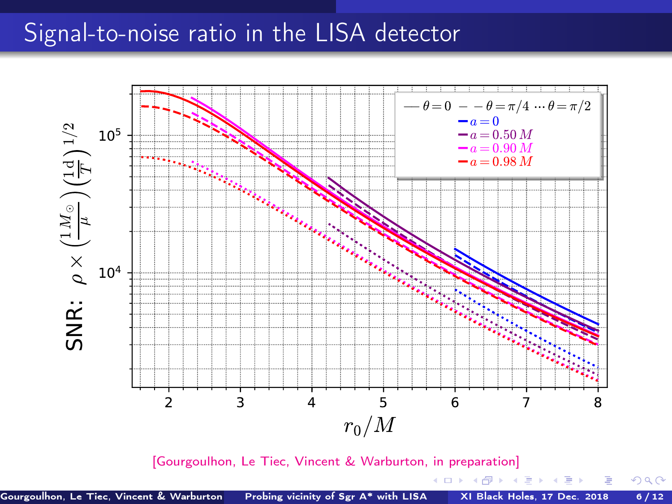<span id="page-10-0"></span>

[\[Gourgoulhon, Le Tiec, Vincent & Warburton, in preparation\]](#page-0-1)

 $299$ 

メロメ メタメ メミメ メミメー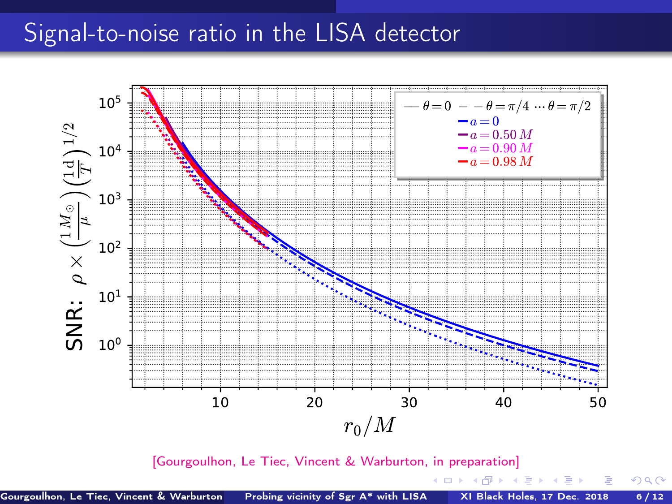

[\[Gourgoulhon, Le Tiec, Vincent & Warburton, in preparation\]](#page-0-1)

4. 0. 3. 4. 伺 化重 网络重

 $299$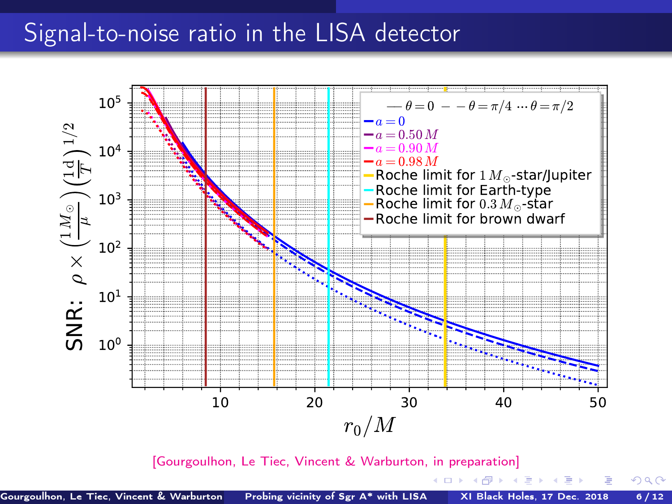

[\[Gourgoulhon, Le Tiec, Vincent & Warburton, in preparation\]](#page-0-1)

4. 0. 3.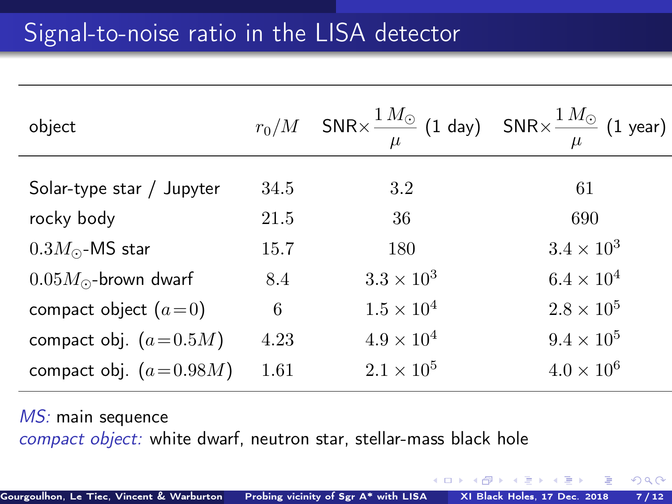| object                       |      | $r_0/M$ SNR $\times \frac{1 M_{\odot}}{n}$ (1 day) SNR $\times \frac{1 M_{\odot}}{n}$ (1 year) | $\mu$               |
|------------------------------|------|------------------------------------------------------------------------------------------------|---------------------|
| Solar-type star / Jupyter    | 34.5 | 3.2                                                                                            | 61                  |
| rocky body                   | 21.5 | 36                                                                                             | 690                 |
| $0.3M_{\odot}$ -MS star      | 15.7 | 180                                                                                            | $3.4 \times 10^3$   |
| $0.05M_{\odot}$ -brown dwarf | 8.4  | $3.3 \times 10^3$                                                                              | $6.4 \times 10^{4}$ |
| compact object $(a=0)$       | 6    | $1.5 \times 10^{4}$                                                                            | $2.8 \times 10^{5}$ |
| compact obj. $(a=0.5M)$      | 4.23 | $4.9 \times 10^{4}$                                                                            | $9.4 \times 10^{5}$ |
| compact obj. $(a=0.98M)$     | 1.61 | $2.1 \times 10^{5}$                                                                            | $4.0 \times 10^{6}$ |
|                              |      |                                                                                                |                     |

MS: main sequence compact object: white dwarf, neutron star, stellar-mass black hole

4 0 F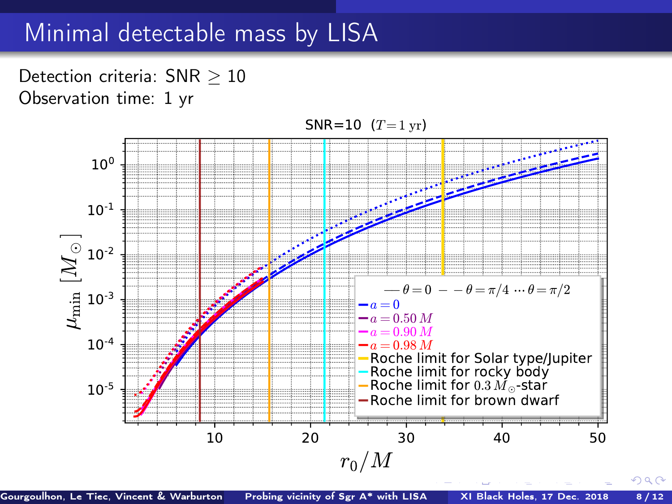### Minimal detectable mass by LISA

Detection criteria: SNR > 10 Observation time: 1 yr



Gourgoulhon, Le Tiec, Vincent & Warburton Reprobing vicinity of Sgr A\* with LISA XI Black Holes, 17 Dec. 2018 8/12

 $QQ$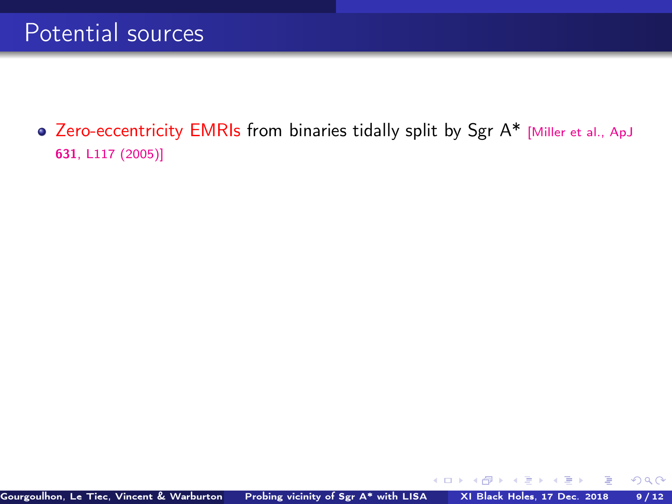• Zero-eccentricity EMRIs from binaries tidally split by Sgr A\* [\[Miller et al., ApJ](https://doi.org/10.1086/497335) 631[, L117 \(2005\)\]](https://doi.org/10.1086/497335)

4 0 8 4

 $299$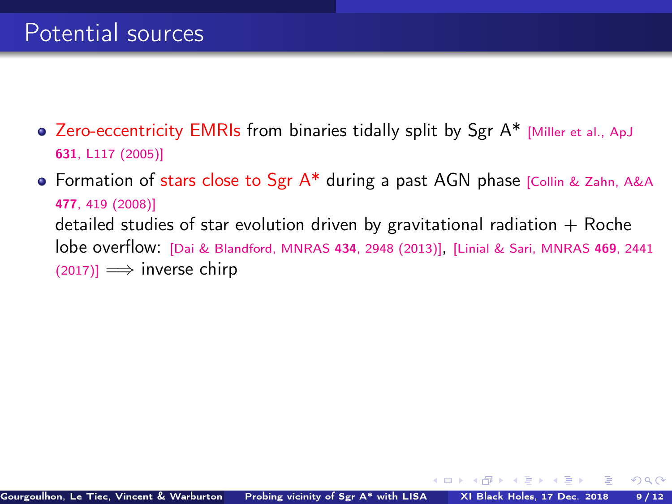- Zero-eccentricity EMRIs from binaries tidally split by Sgr A\* [\[Miller et al., ApJ](https://doi.org/10.1086/497335) 631[, L117 \(2005\)\]](https://doi.org/10.1086/497335)
- **.** Formation of stars close to Sgr A\* during a past AGN phase [\[Collin & Zahn, A&A](https://doi.org/10.1051/0004-6361:20078191) 477[, 419 \(2008\)\]](https://doi.org/10.1051/0004-6361:20078191) detailed studies of star evolution driven by gravitational radiation  $+$  Roche lobe overflow: [\[Dai & Blandford, MNRAS](https://doi.org/10.1093/mnras/stt1209) <sup>434</sup>, 2948 (2013)], [\[Linial & Sari, MNRAS](https://doi.org/10.1093/mnras/stx1041) <sup>469</sup>, 2441  $(2017)$ ]  $\implies$  inverse chirp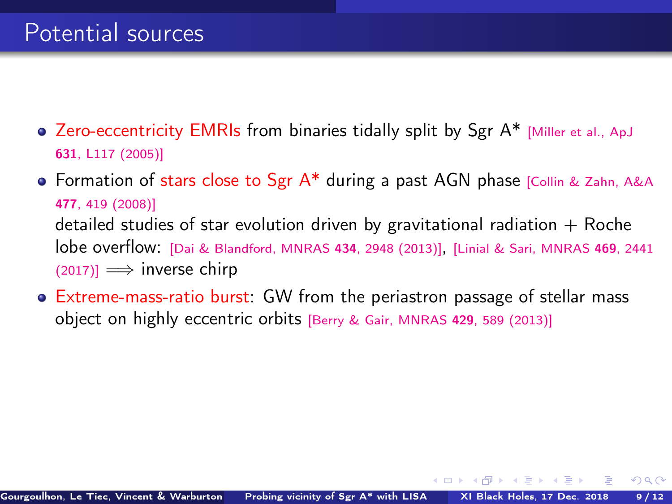- Zero-eccentricity EMRIs from binaries tidally split by Sgr A\* [\[Miller et al., ApJ](https://doi.org/10.1086/497335) 631[, L117 \(2005\)\]](https://doi.org/10.1086/497335)
- Formation of stars close to Sgr  $A^*$  during a past AGN phase [\[Collin & Zahn, A&A](https://doi.org/10.1051/0004-6361:20078191) 477[, 419 \(2008\)\]](https://doi.org/10.1051/0004-6361:20078191) detailed studies of star evolution driven by gravitational radiation  $+$  Roche lobe overflow: [\[Dai & Blandford, MNRAS](https://doi.org/10.1093/mnras/stt1209) <sup>434</sup>, 2948 (2013)], [\[Linial & Sari, MNRAS](https://doi.org/10.1093/mnras/stx1041) <sup>469</sup>, 2441  $(2017)$ ]  $\implies$  inverse chirp
- Extreme-mass-ratio burst: GW from the periastron passage of stellar mass object on highly eccentric orbits [\[Berry & Gair, MNRAS](https://doi.org/10.1093/mnras/sts360) <sup>429</sup>, 589 (2013)]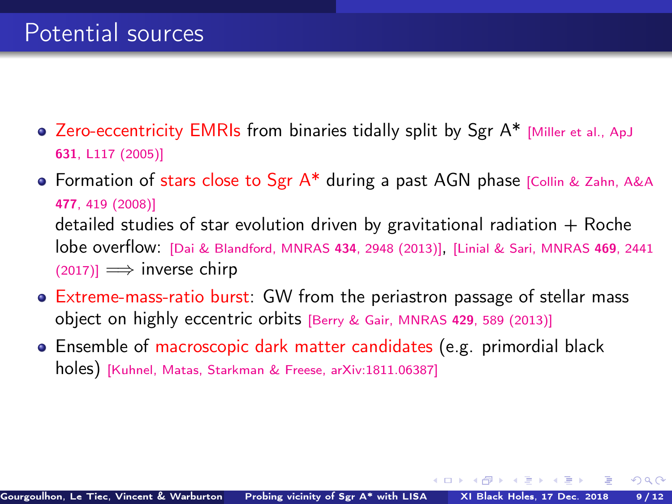- Zero-eccentricity EMRIs from binaries tidally split by Sgr A\* [\[Miller et al., ApJ](https://doi.org/10.1086/497335) 631[, L117 \(2005\)\]](https://doi.org/10.1086/497335)
- Formation of stars close to Sgr  $A^*$  during a past AGN phase [\[Collin & Zahn, A&A](https://doi.org/10.1051/0004-6361:20078191) 477[, 419 \(2008\)\]](https://doi.org/10.1051/0004-6361:20078191) detailed studies of star evolution driven by gravitational radiation  $+$  Roche lobe overflow: [\[Dai & Blandford, MNRAS](https://doi.org/10.1093/mnras/stt1209) <sup>434</sup>, 2948 (2013)], [\[Linial & Sari, MNRAS](https://doi.org/10.1093/mnras/stx1041) <sup>469</sup>, 2441  $(2017)$ ]  $\implies$  inverse chirp
- Extreme-mass-ratio burst: GW from the periastron passage of stellar mass object on highly eccentric orbits [\[Berry & Gair, MNRAS](https://doi.org/10.1093/mnras/sts360) <sup>429</sup>, 589 (2013)]
- Ensemble of macroscopic dark matter candidates (e.g. primordial black holes) [\[Kuhnel, Matas, Starkman & Freese, arXiv:1811.06387\]](https://arxiv.org/abs/1811.06387)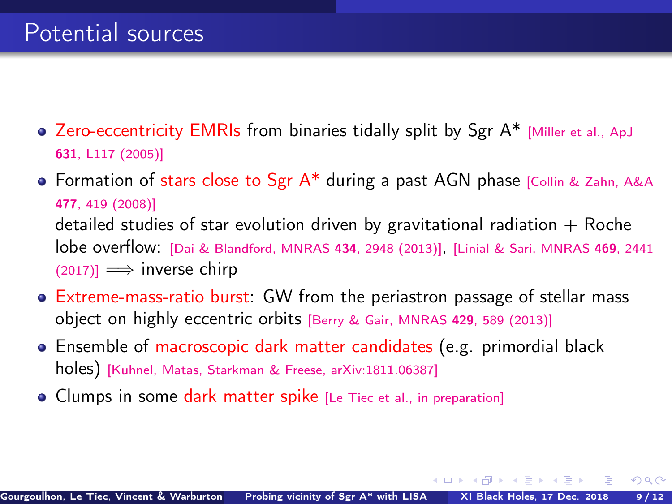- Zero-eccentricity EMRIs from binaries tidally split by Sgr A\* [\[Miller et al., ApJ](https://doi.org/10.1086/497335) 631[, L117 \(2005\)\]](https://doi.org/10.1086/497335)
- Formation of stars close to Sgr  $A^*$  during a past AGN phase [\[Collin & Zahn, A&A](https://doi.org/10.1051/0004-6361:20078191) 477[, 419 \(2008\)\]](https://doi.org/10.1051/0004-6361:20078191) detailed studies of star evolution driven by gravitational radiation  $+$  Roche lobe overflow: [\[Dai & Blandford, MNRAS](https://doi.org/10.1093/mnras/stt1209) <sup>434</sup>, 2948 (2013)], [\[Linial & Sari, MNRAS](https://doi.org/10.1093/mnras/stx1041) <sup>469</sup>, 2441  $(2017)$ ]  $\implies$  inverse chirp
- Extreme-mass-ratio burst: GW from the periastron passage of stellar mass object on highly eccentric orbits [\[Berry & Gair, MNRAS](https://doi.org/10.1093/mnras/sts360) <sup>429</sup>, 589 (2013)]
- Ensemble of macroscopic dark matter candidates (e.g. primordial black holes) [\[Kuhnel, Matas, Starkman & Freese, arXiv:1811.06387\]](https://arxiv.org/abs/1811.06387)
- Clumps in some dark matter spike [\[Le Tiec et al., in preparation\]](#page-0-1)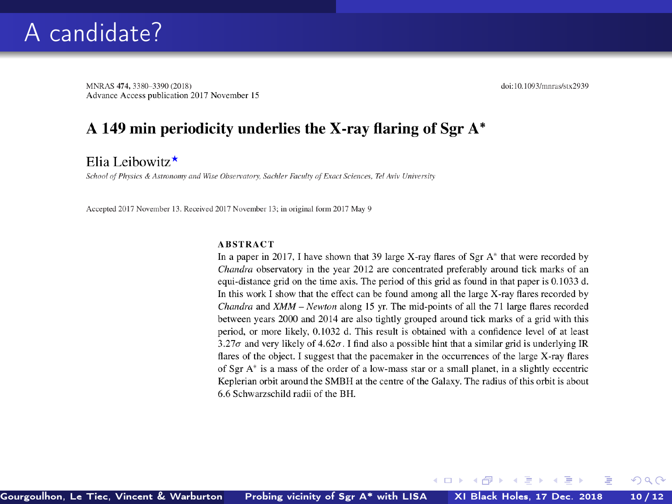MNRAS 474, 3380-3390 (2018) Advance Access publication 2017 November 15 doi:10.1093/mnras/stx2939

 $\Omega$ 

#### A 149 min periodicity underlies the X-ray flaring of Sgr A\*

Elia Leibowitz $\star$ 

School of Physics & Astronomy and Wise Observatory, Sachler Faculty of Exact Sciences, Tel Aviv University

Accepted 2017 November 13. Received 2017 November 13; in original form 2017 May 9

#### **ABSTRACT**

In a paper in 2017, I have shown that 39 large X-ray flares of Sgr  $A^*$  that were recorded by Chandra observatory in the year 2012 are concentrated preferably around tick marks of an equi-distance grid on the time axis. The period of this grid as found in that paper is 0.1033 d. In this work I show that the effect can be found among all the large X-ray flares recorded by Chandra and XMM - Newton along 15 yr. The mid-points of all the 71 large flares recorded between years 2000 and 2014 are also tightly grouped around tick marks of a grid with this period, or more likely, 0.1032 d. This result is obtained with a confidence level of at least 3.27 $\sigma$  and very likely of 4.62 $\sigma$ . I find also a possible hint that a similar grid is underlying IR flares of the object. I suggest that the pacemaker in the occurrences of the large X-ray flares of Sgr A\* is a mass of the order of a low-mass star or a small planet, in a slightly eccentric Keplerian orbit around the SMBH at the centre of the Galaxy. The radius of this orbit is about 6.6 Schwarzschild radii of the BH.

4 0 3 4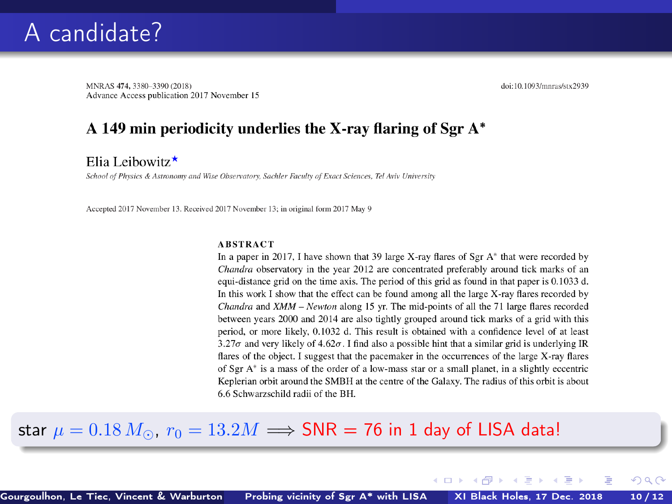MNRAS 474, 3380-3390 (2018) Advance Access publication 2017 November 15 doi:10.1093/mnras/stx2939

 $\Omega$ 

#### A 149 min periodicity underlies the X-ray flaring of Sgr A\*

Elia Leibowitz $\star$ 

School of Physics & Astronomy and Wise Observatory, Sachler Faculty of Exact Sciences, Tel Aviv University

Accepted 2017 November 13. Received 2017 November 13; in original form 2017 May 9

#### **ABSTRACT**

In a paper in 2017, I have shown that 39 large X-ray flares of Sgr  $A^*$  that were recorded by Chandra observatory in the year 2012 are concentrated preferably around tick marks of an equi-distance grid on the time axis. The period of this grid as found in that paper is 0.1033 d. In this work I show that the effect can be found among all the large X-ray flares recorded by Chandra and XMM - Newton along 15 yr. The mid-points of all the 71 large flares recorded between years 2000 and 2014 are also tightly grouped around tick marks of a grid with this period, or more likely, 0.1032 d. This result is obtained with a confidence level of at least 3.27 $\sigma$  and very likely of 4.62 $\sigma$ . I find also a possible hint that a similar grid is underlying IR flares of the object. I suggest that the pacemaker in the occurrences of the large X-ray flares of Sgr  $A^*$  is a mass of the order of a low-mass star or a small planet, in a slightly eccentric Keplerian orbit around the SMBH at the centre of the Galaxy. The radius of this orbit is about 6.6 Schwarzschild radii of the BH.

4 0 3 4

#### star  $\mu = 0.18 M_{\odot}$ ,  $r_0 = 13.2 M \Longrightarrow$  SNR = 76 in 1 day of LISA data!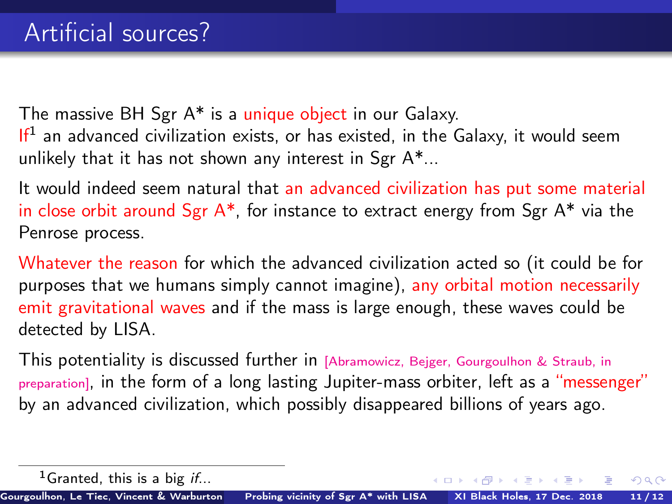The massive BH Sgr A\* is a unique object in our Galaxy. If<sup>1</sup> an advanced civilization exists, or has existed, in the Galaxy, it would seem unlikely that it has not shown any interest in Sgr A\*...

It would indeed seem natural that an advanced civilization has put some material in close orbit around Sgr  $A^*$ , for instance to extract energy from Sgr  $A^*$  via the Penrose process.

Whatever the reason for which the advanced civilization acted so (it could be for purposes that we humans simply cannot imagine), any orbital motion necessarily emit gravitational waves and if the mass is large enough, these waves could be detected by LISA.

This potentiality is discussed further in [\[Abramowicz, Bejger, Gourgoulhon & Straub, in](#page-0-1) [preparation\]](#page-0-1), in the form of a long lasting Jupiter-mass orbiter, left as a "messenger" by an advanced civilization, which possibly disappeared billions of years ago.

 $QQ$ 

<sup>&</sup>lt;sup>1</sup>Granted, this is a big if...